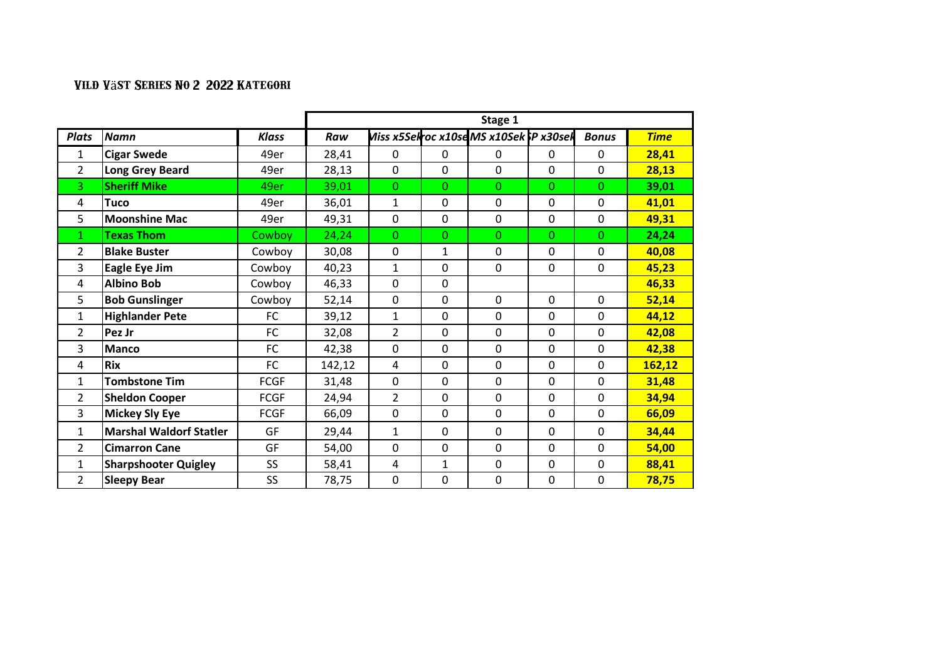|                |                                |               | Stage 1 |                |                |                                        |                |                |             |  |  |
|----------------|--------------------------------|---------------|---------|----------------|----------------|----------------------------------------|----------------|----------------|-------------|--|--|
| <b>Plats</b>   | <b>Namn</b>                    | <b>Klass</b>  | Raw     |                |                | Miss x5Sekroc x10seMS x10Sek FP x30sek |                | <b>Bonus</b>   | <b>Time</b> |  |  |
| 1              | <b>Cigar Swede</b>             | 49er          | 28,41   | 0              | $\mathbf 0$    | 0                                      | 0              | 0              | 28,41       |  |  |
| $\overline{2}$ | <b>Long Grey Beard</b>         | 49er          | 28,13   | 0              | 0              | $\mathbf 0$                            | 0              | $\mathbf 0$    | 28,13       |  |  |
| 3              | <b>Sheriff Mike</b>            | 49er          | 39,01   | 0              | $\Omega$       | $\overline{0}$                         | $\overline{0}$ | $\overline{0}$ | 39,01       |  |  |
| 4              | <b>Tuco</b>                    | 49er          | 36,01   | $\mathbf{1}$   | 0              | $\mathbf 0$                            | 0              | $\mathbf 0$    | 41,01       |  |  |
| 5              | <b>Moonshine Mac</b>           | 49er          | 49,31   | $\mathbf 0$    | 0              | $\mathbf 0$                            | 0              | $\mathbf 0$    | 49,31       |  |  |
| $\mathbf{1}$   | <b>Texas Thom</b>              | <b>Cowboy</b> | 24,24   | 0              | $\overline{0}$ | $\overline{0}$                         | $\overline{0}$ | $\overline{0}$ | 24,24       |  |  |
| $\overline{2}$ | <b>Blake Buster</b>            | Cowboy        | 30,08   | 0              | $\mathbf{1}$   | 0                                      | 0              | $\mathbf 0$    | 40,08       |  |  |
| 3              | <b>Eagle Eye Jim</b>           | Cowboy        | 40,23   | $\mathbf{1}$   | 0              | $\Omega$                               | 0              | 0              | 45,23       |  |  |
| 4              | <b>Albino Bob</b>              | Cowboy        | 46,33   | 0              | 0              |                                        |                |                | 46,33       |  |  |
| 5              | <b>Bob Gunslinger</b>          | Cowboy        | 52,14   | 0              | 0              | $\mathbf 0$                            | 0              | 0              | 52,14       |  |  |
| $\mathbf{1}$   | <b>Highlander Pete</b>         | FC            | 39,12   | $\mathbf{1}$   | 0              | $\Omega$                               | 0              | $\mathbf 0$    | 44,12       |  |  |
| $\overline{2}$ | Pez Jr                         | FC            | 32,08   | $\overline{2}$ | $\mathbf 0$    | $\mathbf 0$                            | 0              | $\mathbf 0$    | 42,08       |  |  |
| 3              | <b>Manco</b>                   | <b>FC</b>     | 42,38   | $\Omega$       | 0              | $\Omega$                               | 0              | 0              | 42,38       |  |  |
| 4              | Rix                            | FC            | 142,12  | 4              | 0              | $\mathbf 0$                            | 0              | $\mathbf 0$    | 162,12      |  |  |
| $\mathbf{1}$   | <b>Tombstone Tim</b>           | <b>FCGF</b>   | 31,48   | 0              | 0              | $\mathbf 0$                            | 0              | $\mathbf 0$    | 31,48       |  |  |
| $\overline{2}$ | <b>Sheldon Cooper</b>          | <b>FCGF</b>   | 24,94   | $\overline{2}$ | 0              | $\Omega$                               | 0              | $\Omega$       | 34,94       |  |  |
| 3              | <b>Mickey Sly Eye</b>          | <b>FCGF</b>   | 66,09   | 0              | 0              | $\mathbf 0$                            | 0              | $\mathbf 0$    | 66,09       |  |  |
| 1              | <b>Marshal Waldorf Statler</b> | GF            | 29,44   | 1              | 0              | $\mathbf 0$                            | 0              | 0              | 34,44       |  |  |
| $\overline{2}$ | <b>Cimarron Cane</b>           | GF            | 54,00   | 0              | 0              | $\mathbf 0$                            | 0              | $\mathbf 0$    | 54,00       |  |  |
| 1              | <b>Sharpshooter Quigley</b>    | <b>SS</b>     | 58,41   | 4              | $\mathbf{1}$   | $\mathbf 0$                            | 0              | 0              | 88,41       |  |  |
| $\overline{2}$ | <b>Sleepy Bear</b>             | <b>SS</b>     | 78,75   | 0              | 0              | 0                                      | 0              | 0              | 78,75       |  |  |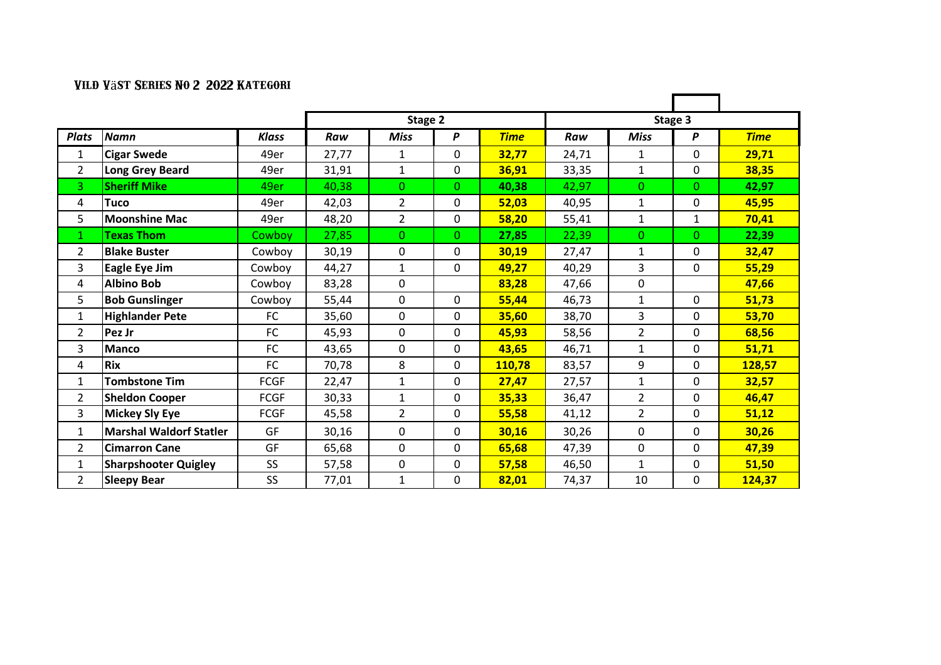|                |                                |               | Stage 2 |                |              |             |       |                |              |             |
|----------------|--------------------------------|---------------|---------|----------------|--------------|-------------|-------|----------------|--------------|-------------|
| <b>Plats</b>   | <b>Namn</b>                    | <b>Klass</b>  | Raw     | <b>Miss</b>    | P            | <b>Time</b> | Raw   | <b>Miss</b>    | P            | <b>Time</b> |
| 1              | <b>Cigar Swede</b>             | 49er          | 27,77   | $\mathbf{1}$   | 0            | 32,77       | 24,71 | $\mathbf{1}$   | $\mathbf{0}$ | 29,71       |
| $\overline{2}$ | <b>Long Grey Beard</b>         | 49er          | 31,91   | 1              | 0            | 36,91       | 33,35 | $\mathbf{1}$   | 0            | 38,35       |
| 3              | <b>Sheriff Mike</b>            | 49er          | 40,38   | $\mathbf{0}$   | $\mathbf{0}$ | 40,38       | 42,97 | $\overline{0}$ | 0            | 42,97       |
| 4              | <b>Tuco</b>                    | 49er          | 42,03   | 2              | 0            | 52,03       | 40,95 | $\mathbf{1}$   | 0            | 45,95       |
| 5              | <b>Moonshine Mac</b>           | 49er          | 48,20   | $\overline{2}$ | 0            | 58,20       | 55,41 | 1              | 1            | 70,41       |
| $\mathbf{1}$   | <b>Texas Thom</b>              | <b>Cowboy</b> | 27,85   | $\Omega$       | $\Omega$     | 27,85       | 22,39 | $\overline{0}$ | $\Omega$     | 22,39       |
| 2              | <b>Blake Buster</b>            | Cowboy        | 30,19   | 0              | 0            | 30,19       | 27,47 | $\mathbf{1}$   | 0            | 32,47       |
| 3              | Eagle Eye Jim                  | Cowboy        | 44,27   | $\mathbf{1}$   | 0            | 49,27       | 40,29 | 3              | $\mathbf{0}$ | 55,29       |
| 4              | <b>Albino Bob</b>              | Cowboy        | 83,28   | 0              |              | 83,28       | 47,66 | $\mathbf 0$    |              | 47,66       |
| 5              | <b>Bob Gunslinger</b>          | Cowboy        | 55,44   | 0              | 0            | 55,44       | 46,73 | $\mathbf{1}$   | $\mathbf{0}$ | 51,73       |
| 1              | <b>Highlander Pete</b>         | <b>FC</b>     | 35,60   | 0              | 0            | 35,60       | 38,70 | 3              | 0            | 53,70       |
| $\overline{2}$ | Pez Jr                         | FC            | 45,93   | 0              | 0            | 45,93       | 58,56 | $\overline{2}$ | $\mathbf{0}$ | 68,56       |
| 3              | <b>Manco</b>                   | <b>FC</b>     | 43,65   | 0              | 0            | 43,65       | 46,71 | $\mathbf{1}$   | 0            | 51,71       |
| 4              | Rix                            | <b>FC</b>     | 70,78   | 8              | 0            | 110,78      | 83,57 | 9              | $\mathbf{0}$ | 128,57      |
| 1              | <b>Tombstone Tim</b>           | <b>FCGF</b>   | 22,47   | 1              | 0            | 27,47       | 27,57 | $\mathbf{1}$   | 0            | 32,57       |
| $\overline{2}$ | <b>Sheldon Cooper</b>          | <b>FCGF</b>   | 30,33   | 1              | 0            | 35,33       | 36,47 | $\overline{2}$ | $\mathbf{0}$ | 46,47       |
| 3              | <b>Mickey Sly Eye</b>          | <b>FCGF</b>   | 45,58   | $\overline{2}$ | 0            | 55,58       | 41,12 | $\overline{2}$ | 0            | 51,12       |
| 1              | <b>Marshal Waldorf Statler</b> | GF            | 30,16   | 0              | 0            | 30,16       | 30,26 | $\mathbf 0$    | 0            | 30,26       |
| $\overline{2}$ | <b>Cimarron Cane</b>           | GF            | 65,68   | 0              | 0            | 65,68       | 47,39 | $\mathbf 0$    | $\mathbf{0}$ | 47,39       |
| 1              | <b>Sharpshooter Quigley</b>    | SS            | 57,58   | 0              | 0            | 57,58       | 46,50 | $\mathbf{1}$   | 0            | 51,50       |
| $\overline{2}$ | <b>Sleepy Bear</b>             | SS            | 77,01   | 1              | 0            | 82,01       | 74,37 | 10             | 0            | 124,37      |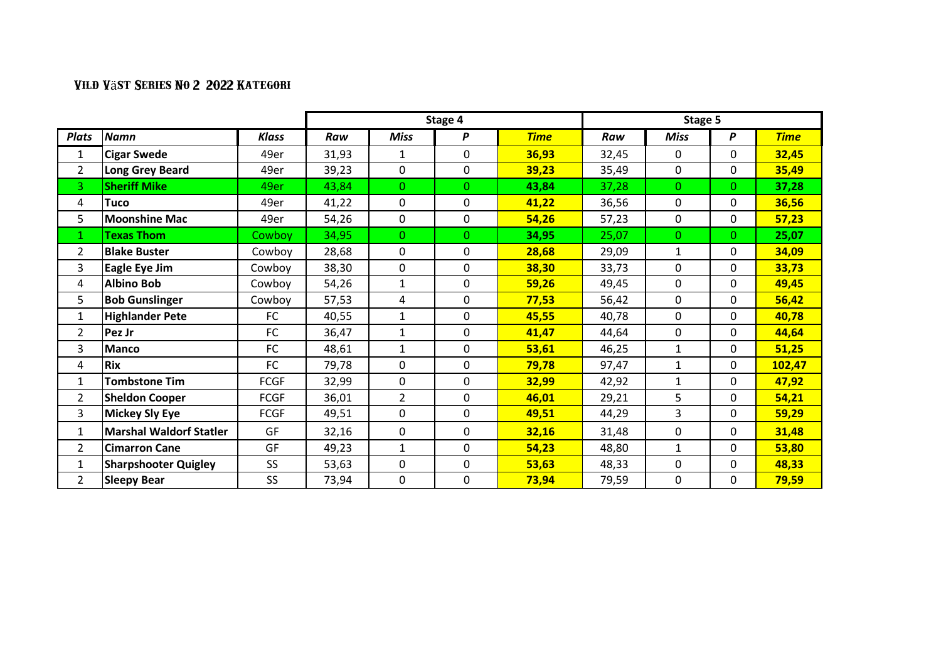|                |                                |                 | Stage 4 |                |                | Stage 5     |       |              |                |             |
|----------------|--------------------------------|-----------------|---------|----------------|----------------|-------------|-------|--------------|----------------|-------------|
| <b>Plats</b>   | <b>Namn</b>                    | <b>Klass</b>    | Raw     | <b>Miss</b>    | P              | <b>Time</b> | Raw   | <b>Miss</b>  | P              | <b>Time</b> |
| 1              | <b>Cigar Swede</b>             | 49er            | 31,93   | 1              | 0              | 36,93       | 32,45 | 0            | 0              | 32,45       |
| $\overline{2}$ | <b>Long Grey Beard</b>         | 49er            | 39,23   | 0              | 0              | 39,23       | 35,49 | 0            | 0              | 35,49       |
| 3              | <b>Sheriff Mike</b>            | 49er            | 43,84   | $\overline{O}$ | 0              | 43,84       | 37,28 | $\Omega$     | $\Omega$       | 37,28       |
| 4              | <b>Tuco</b>                    | 49er            | 41,22   | 0              | 0              | 41,22       | 36,56 | 0            | 0              | 36,56       |
| 5              | <b>Moonshine Mac</b>           | 49er            | 54,26   | 0              | 0              | 54,26       | 57,23 | 0            | 0              | 57,23       |
| 1              | <b>Texas Thom</b>              | Cowboy          | 34,95   | $\overline{0}$ | $\overline{0}$ | 34,95       | 25,07 | $\Omega$     | $\overline{0}$ | 25,07       |
| $\overline{2}$ | <b>Blake Buster</b>            | Cowboy          | 28,68   | 0              | 0              | 28,68       | 29,09 | $\mathbf{1}$ | 0              | 34,09       |
| 3              | Eagle Eye Jim                  | Cowboy          | 38,30   | $\Omega$       | 0              | 38,30       | 33,73 | $\Omega$     | 0              | 33,73       |
| 4              | <b>Albino Bob</b>              | Cowboy          | 54,26   | $\mathbf{1}$   | 0              | 59,26       | 49,45 | 0            | 0              | 49,45       |
| 5              | <b>Bob Gunslinger</b>          | Cowboy          | 57,53   | 4              | 0              | 77,53       | 56,42 | 0            | 0              | 56,42       |
| 1              | <b>Highlander Pete</b>         | FC              | 40,55   | $\mathbf{1}$   | 0              | 45,55       | 40,78 | 0            | 0              | 40,78       |
| $\overline{2}$ | Pez Jr                         | FC              | 36,47   | $\mathbf{1}$   | $\mathbf 0$    | 41,47       | 44,64 | 0            | 0              | 44,64       |
| 3              | <b>Manco</b>                   | FC              | 48,61   | $\mathbf{1}$   | 0              | 53,61       | 46,25 | $\mathbf{1}$ | 0              | 51,25       |
| 4              | <b>Rix</b>                     | FC              | 79,78   | 0              | 0              | 79,78       | 97,47 | $\mathbf{1}$ | 0              | 102,47      |
| 1              | <b>Tombstone Tim</b>           | <b>FCGF</b>     | 32,99   | 0              | 0              | 32,99       | 42,92 | 1            | 0              | 47,92       |
| 2              | <b>Sheldon Cooper</b>          | <b>FCGF</b>     | 36,01   | $\overline{2}$ | 0              | 46,01       | 29,21 | 5            | 0              | 54,21       |
| 3              | <b>Mickey Sly Eye</b>          | <b>FCGF</b>     | 49,51   | 0              | 0              | 49,51       | 44,29 | 3            | 0              | 59,29       |
| 1              | <b>Marshal Waldorf Statler</b> | GF              | 32,16   | 0              | 0              | 32,16       | 31,48 | 0            | 0              | 31,48       |
| 2              | <b>Cimarron Cane</b>           | GF              | 49,23   | $\mathbf{1}$   | 0              | 54,23       | 48,80 | $\mathbf{1}$ | 0              | 53,80       |
| 1              | <b>Sharpshooter Quigley</b>    | SS              | 53,63   | 0              | 0              | 53,63       | 48,33 | 0            | 0              | 48,33       |
| $\overline{2}$ | <b>Sleepy Bear</b>             | SS <sub>1</sub> | 73,94   | 0              | 0              | 73,94       | 79,59 | 0            | 0              | 79,59       |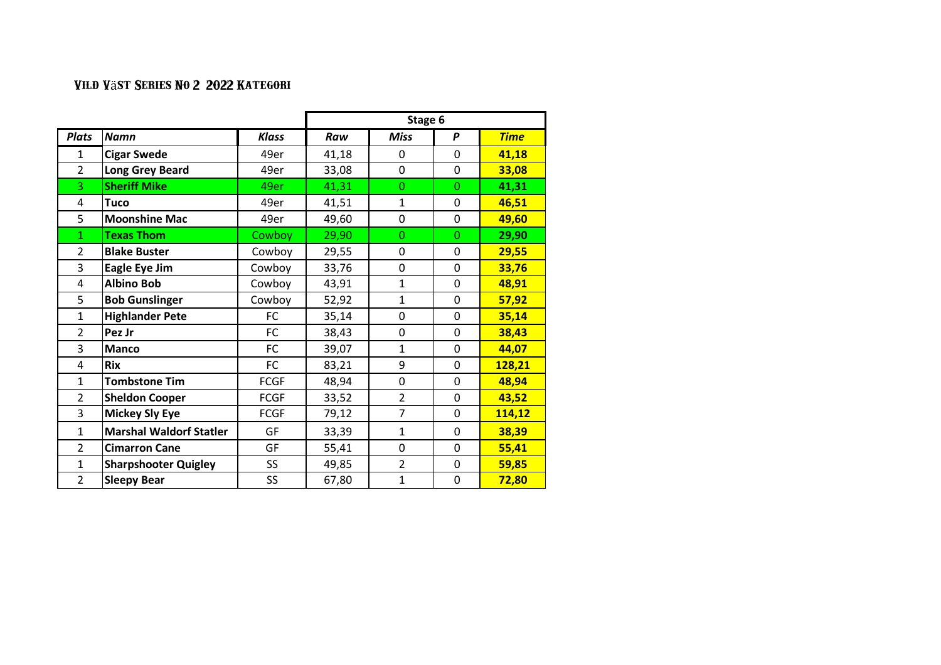|                |                                |              | Stage 6 |                |                |             |  |  |
|----------------|--------------------------------|--------------|---------|----------------|----------------|-------------|--|--|
| <b>Plats</b>   | <b>Namn</b>                    | <b>Klass</b> | Raw     | <b>Miss</b>    | P              | <b>Time</b> |  |  |
| $\mathbf{1}$   | <b>Cigar Swede</b>             | 49er         | 41,18   | 0              | 0              | 41,18       |  |  |
| $\overline{2}$ | <b>Long Grey Beard</b>         | 49er         | 33,08   | 0              | 0              | 33,08       |  |  |
| 3              | <b>Sheriff Mike</b>            | 49er         | 41,31   | $\overline{0}$ | 0              | 41,31       |  |  |
| 4              | <b>Tuco</b>                    | 49er         | 41,51   | $\mathbf{1}$   | 0              | 46,51       |  |  |
| 5              | <b>Moonshine Mac</b>           | 49er         | 49,60   | 0              | 0              | 49,60       |  |  |
| $\mathbf{1}$   | <b>Texas Thom</b>              | Cowboy       | 29,90   | $\overline{0}$ | $\overline{0}$ | 29,90       |  |  |
| $\overline{2}$ | <b>Blake Buster</b>            | Cowboy       | 29,55   | 0              | 0              | 29,55       |  |  |
| 3              | Eagle Eye Jim                  | Cowboy       | 33,76   | 0              | 0              | 33,76       |  |  |
| 4              | <b>Albino Bob</b>              | Cowboy       | 43,91   | $\mathbf{1}$   | 0              | 48,91       |  |  |
| 5              | <b>Bob Gunslinger</b>          | Cowboy       | 52,92   | $\mathbf{1}$   | 0              | 57,92       |  |  |
| $\mathbf{1}$   | <b>Highlander Pete</b>         | <b>FC</b>    | 35,14   | 0              | 0              | 35,14       |  |  |
| $\overline{2}$ | Pez Jr                         | <b>FC</b>    | 38,43   | 0              | 0              | 38,43       |  |  |
| 3              | <b>Manco</b>                   | FC           | 39,07   | $\mathbf{1}$   | 0              | 44,07       |  |  |
| 4              | Rix                            | <b>FC</b>    | 83,21   | 9              | 0              | 128,21      |  |  |
| 1              | <b>Tombstone Tim</b>           | <b>FCGF</b>  | 48,94   | 0              | 0              | 48,94       |  |  |
| $\overline{2}$ | <b>Sheldon Cooper</b>          | <b>FCGF</b>  | 33,52   | $\overline{2}$ | $\overline{0}$ | 43,52       |  |  |
| 3              | <b>Mickey Sly Eye</b>          | <b>FCGF</b>  | 79,12   | $\overline{7}$ | 0              | 114,12      |  |  |
| 1              | <b>Marshal Waldorf Statler</b> | GF           | 33,39   | $\mathbf{1}$   | 0              | 38,39       |  |  |
| $\overline{2}$ | <b>Cimarron Cane</b>           | GF           | 55,41   | $\overline{0}$ | 0              | 55,41       |  |  |
| $\mathbf{1}$   | <b>Sharpshooter Quigley</b>    | SS           | 49,85   | $\overline{2}$ | 0              | 59,85       |  |  |
| $\overline{2}$ | <b>Sleepy Bear</b>             | SS           | 67,80   | $\mathbf{1}$   | 0              | 72,80       |  |  |